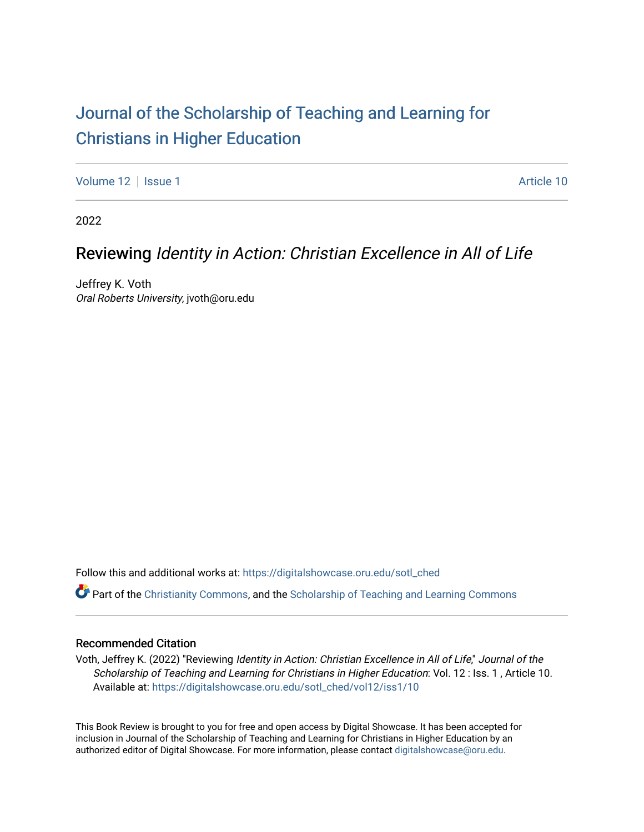# [Journal of the Scholarship of Teaching and Learning for](https://digitalshowcase.oru.edu/sotl_ched)  [Christians in Higher Education](https://digitalshowcase.oru.edu/sotl_ched)

[Volume 12](https://digitalshowcase.oru.edu/sotl_ched/vol12) | [Issue 1](https://digitalshowcase.oru.edu/sotl_ched/vol12/iss1) Article 10

2022

## Reviewing Identity in Action: Christian Excellence in All of Life

Jeffrey K. Voth Oral Roberts University, jvoth@oru.edu

Follow this and additional works at: [https://digitalshowcase.oru.edu/sotl\\_ched](https://digitalshowcase.oru.edu/sotl_ched?utm_source=digitalshowcase.oru.edu%2Fsotl_ched%2Fvol12%2Fiss1%2F10&utm_medium=PDF&utm_campaign=PDFCoverPages) 

Part of the [Christianity Commons,](https://network.bepress.com/hgg/discipline/1181?utm_source=digitalshowcase.oru.edu%2Fsotl_ched%2Fvol12%2Fiss1%2F10&utm_medium=PDF&utm_campaign=PDFCoverPages) and the [Scholarship of Teaching and Learning Commons](https://network.bepress.com/hgg/discipline/1328?utm_source=digitalshowcase.oru.edu%2Fsotl_ched%2Fvol12%2Fiss1%2F10&utm_medium=PDF&utm_campaign=PDFCoverPages) 

#### Recommended Citation

Voth, Jeffrey K. (2022) "Reviewing Identity in Action: Christian Excellence in All of Life," Journal of the Scholarship of Teaching and Learning for Christians in Higher Education: Vol. 12 : Iss. 1 , Article 10. Available at: [https://digitalshowcase.oru.edu/sotl\\_ched/vol12/iss1/10](https://digitalshowcase.oru.edu/sotl_ched/vol12/iss1/10?utm_source=digitalshowcase.oru.edu%2Fsotl_ched%2Fvol12%2Fiss1%2F10&utm_medium=PDF&utm_campaign=PDFCoverPages) 

This Book Review is brought to you for free and open access by Digital Showcase. It has been accepted for inclusion in Journal of the Scholarship of Teaching and Learning for Christians in Higher Education by an authorized editor of Digital Showcase. For more information, please contact [digitalshowcase@oru.edu.](mailto:digitalshowcase@oru.edu)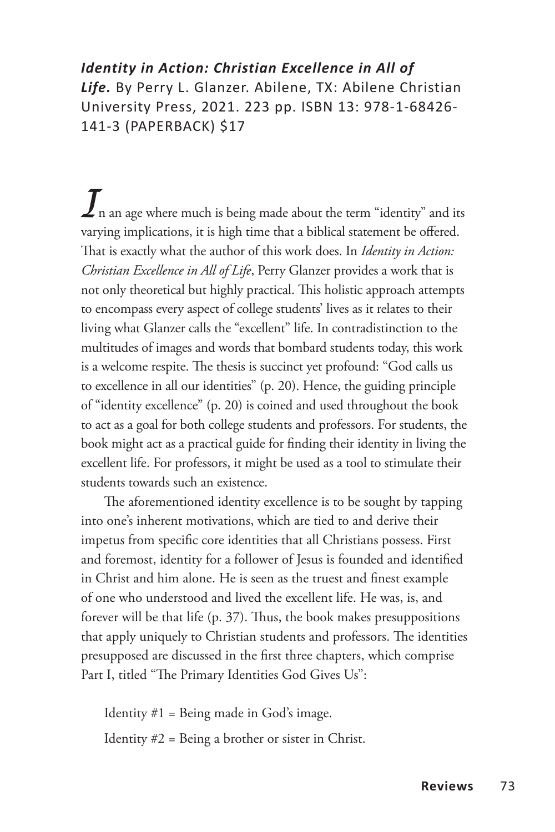### *Identity in Action: Christian Excellence in All of Life.* By Perry L. Glanzer. Abilene, TX: Abilene Christian University Press, 2021. 223 pp. ISBN 13: 978-1-68426- 141-3 (PAPERBACK) \$17

 $\boldsymbol{J}$ n an age where much is being made about the term "identity" and its varying implications, it is high time that a biblical statement be offered. That is exactly what the author of this work does. In *Identity in Action: Christian Excellence in All of Life*, Perry Glanzer provides a work that is not only theoretical but highly practical. This holistic approach attempts to encompass every aspect of college students' lives as it relates to their living what Glanzer calls the "excellent" life. In contradistinction to the multitudes of images and words that bombard students today, this work is a welcome respite. The thesis is succinct yet profound: "God calls us to excellence in all our identities" (p. 20). Hence, the guiding principle of "identity excellence" (p. 20) is coined and used throughout the book to act as a goal for both college students and professors. For students, the book might act as a practical guide for finding their identity in living the excellent life. For professors, it might be used as a tool to stimulate their students towards such an existence.

The aforementioned identity excellence is to be sought by tapping into one's inherent motivations, which are tied to and derive their impetus from specific core identities that all Christians possess. First and foremost, identity for a follower of Jesus is founded and identified in Christ and him alone. He is seen as the truest and finest example of one who understood and lived the excellent life. He was, is, and forever will be that life (p. 37). Thus, the book makes presuppositions that apply uniquely to Christian students and professors. The identities presupposed are discussed in the first three chapters, which comprise Part I, titled "The Primary Identities God Gives Us":

Identity  $#1 =$  Being made in God's image. Identity #2 = Being a brother or sister in Christ.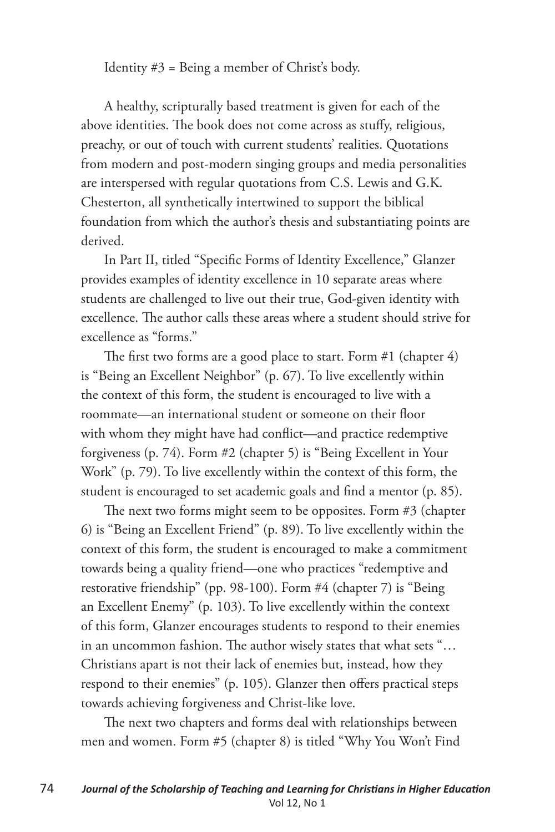Identity #3 = Being a member of Christ's body.

A healthy, scripturally based treatment is given for each of the above identities. The book does not come across as stuffy, religious, preachy, or out of touch with current students' realities. Quotations from modern and post-modern singing groups and media personalities are interspersed with regular quotations from C.S. Lewis and G.K. Chesterton, all synthetically intertwined to support the biblical foundation from which the author's thesis and substantiating points are derived.

In Part II, titled "Specific Forms of Identity Excellence," Glanzer provides examples of identity excellence in 10 separate areas where students are challenged to live out their true, God-given identity with excellence. The author calls these areas where a student should strive for excellence as "forms."

The first two forms are a good place to start. Form #1 (chapter 4) is "Being an Excellent Neighbor" (p. 67). To live excellently within the context of this form, the student is encouraged to live with a roommate—an international student or someone on their floor with whom they might have had conflict—and practice redemptive forgiveness (p. 74). Form #2 (chapter 5) is "Being Excellent in Your Work" (p. 79). To live excellently within the context of this form, the student is encouraged to set academic goals and find a mentor (p. 85).

The next two forms might seem to be opposites. Form #3 (chapter 6) is "Being an Excellent Friend" (p. 89). To live excellently within the context of this form, the student is encouraged to make a commitment towards being a quality friend—one who practices "redemptive and restorative friendship" (pp. 98-100). Form #4 (chapter 7) is "Being an Excellent Enemy" (p. 103). To live excellently within the context of this form, Glanzer encourages students to respond to their enemies in an uncommon fashion. The author wisely states that what sets "… Christians apart is not their lack of enemies but, instead, how they respond to their enemies" (p. 105). Glanzer then offers practical steps towards achieving forgiveness and Christ-like love.

The next two chapters and forms deal with relationships between men and women. Form #5 (chapter 8) is titled "Why You Won't Find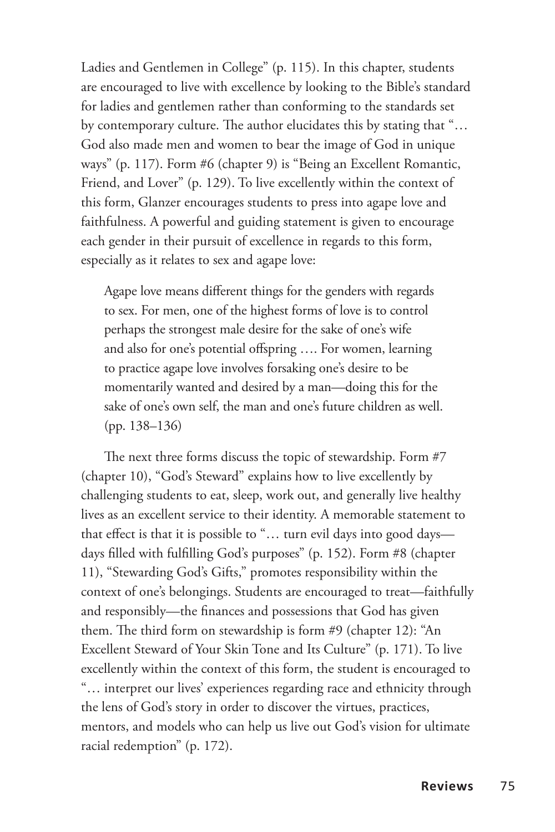Ladies and Gentlemen in College" (p. 115). In this chapter, students are encouraged to live with excellence by looking to the Bible's standard for ladies and gentlemen rather than conforming to the standards set by contemporary culture. The author elucidates this by stating that "… God also made men and women to bear the image of God in unique ways" (p. 117). Form #6 (chapter 9) is "Being an Excellent Romantic, Friend, and Lover" (p. 129). To live excellently within the context of this form, Glanzer encourages students to press into agape love and faithfulness. A powerful and guiding statement is given to encourage each gender in their pursuit of excellence in regards to this form, especially as it relates to sex and agape love:

Agape love means different things for the genders with regards to sex. For men, one of the highest forms of love is to control perhaps the strongest male desire for the sake of one's wife and also for one's potential offspring …. For women, learning to practice agape love involves forsaking one's desire to be momentarily wanted and desired by a man—doing this for the sake of one's own self, the man and one's future children as well. (pp. 138–136)

The next three forms discuss the topic of stewardship. Form #7 (chapter 10), "God's Steward" explains how to live excellently by challenging students to eat, sleep, work out, and generally live healthy lives as an excellent service to their identity. A memorable statement to that effect is that it is possible to "… turn evil days into good days days filled with fulfilling God's purposes" (p. 152). Form #8 (chapter 11), "Stewarding God's Gifts," promotes responsibility within the context of one's belongings. Students are encouraged to treat—faithfully and responsibly—the finances and possessions that God has given them. The third form on stewardship is form #9 (chapter 12): "An Excellent Steward of Your Skin Tone and Its Culture" (p. 171). To live excellently within the context of this form, the student is encouraged to "… interpret our lives' experiences regarding race and ethnicity through the lens of God's story in order to discover the virtues, practices, mentors, and models who can help us live out God's vision for ultimate racial redemption" (p. 172).